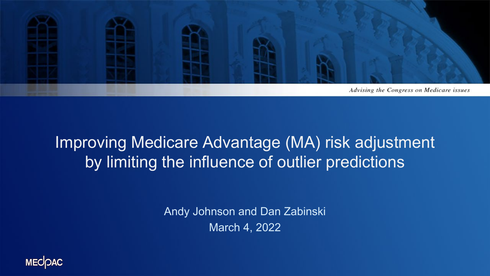

#### Improving Medicare Advantage (MA) risk adjustment by limiting the influence of outlier predictions

Andy Johnson and Dan Zabinski March 4, 2022

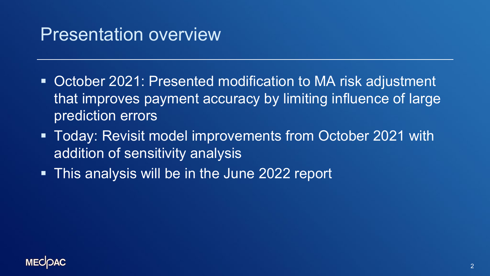#### Presentation overview

- **October 2021: Presented modification to MA risk adjustment** that improves payment accuracy by limiting influence of large prediction errors
- Today: Revisit model improvements from October 2021 with addition of sensitivity analysis
- **This analysis will be in the June 2022 report**

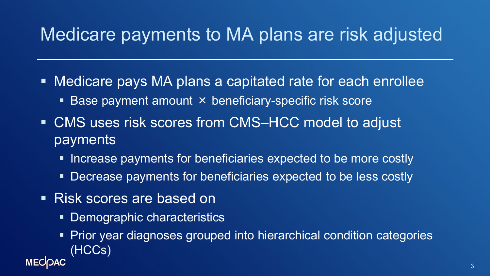# Medicare payments to MA plans are risk adjusted

- Medicare pays MA plans a capitated rate for each enrollee
	- Base payment amount × beneficiary-specific risk score
- CMS uses risk scores from CMS–HCC model to adjust payments
	- **Increase payments for beneficiaries expected to be more costly**
	- Decrease payments for beneficiaries expected to be less costly
- **Risk scores are based on** 
	- Demographic characteristics
- Prior year diagnoses grouped into hierarchical condition categories (HCCs) **MECIOAC**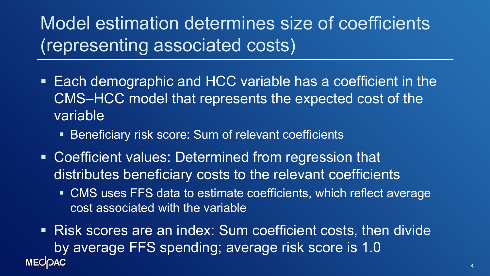# Model estimation determines size of coefficients (representing associated costs)

- Each demographic and HCC variable has a coefficient in the CMS–HCC model that represents the expected cost of the variable
	- **Beneficiary risk score: Sum of relevant coefficients**
- Coefficient values: Determined from regression that distributes beneficiary costs to the relevant coefficients
	- CMS uses FFS data to estimate coefficients, which reflect average cost associated with the variable
- Risk scores are an index: Sum coefficient costs, then divide by average FFS spending; average risk score is 1.0 **MECOAC**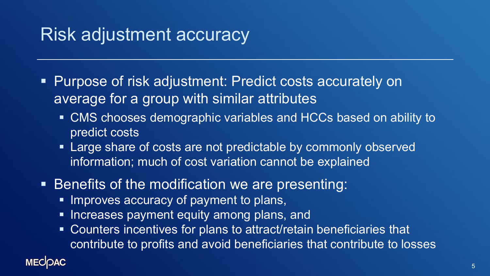### Risk adjustment accuracy

- **Purpose of risk adjustment: Predict costs accurately on** average for a group with similar attributes
	- CMS chooses demographic variables and HCCs based on ability to predict costs
	- **Example Share of costs are not predictable by commonly observed** information; much of cost variation cannot be explained
- Benefits of the modification we are presenting:
	- **Improves accuracy of payment to plans,**
	- **Increases payment equity among plans, and**
	- Counters incentives for plans to attract/retain beneficiaries that contribute to profits and avoid beneficiaries that contribute to losses

#### **MECOAC**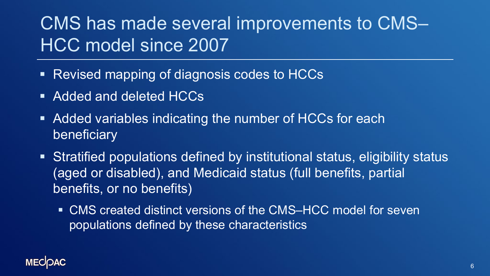# CMS has made several improvements to CMS– HCC model since 2007

- **Revised mapping of diagnosis codes to HCCs**
- Added and deleted HCCs
- **Added variables indicating the number of HCCs for each** beneficiary
- Stratified populations defined by institutional status, eligibility status (aged or disabled), and Medicaid status (full benefits, partial benefits, or no benefits)
	- CMS created distinct versions of the CMS–HCC model for seven populations defined by these characteristics

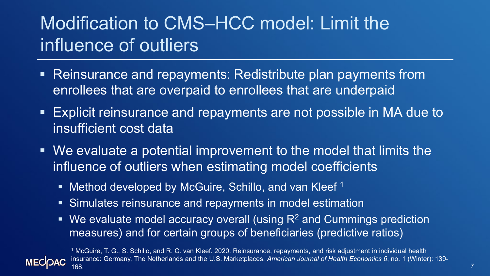# Modification to CMS–HCC model: Limit the influence of outliers

- Reinsurance and repayments: Redistribute plan payments from enrollees that are overpaid to enrollees that are underpaid
- Explicit reinsurance and repayments are not possible in MA due to insufficient cost data
- We evaluate a potential improvement to the model that limits the influence of outliers when estimating model coefficients
	- Method developed by McGuire, Schillo, and van Kleef<sup>1</sup>
	- Simulates reinsurance and repayments in model estimation
	- $\blacksquare$  We evaluate model accuracy overall (using  $R^2$  and Cummings prediction measures) and for certain groups of beneficiaries (predictive ratios)



<sup>1</sup> McGuire, T. G., S. Schillo, and R. C. van Kleef. 2020. Reinsurance, repayments, and risk adjustment in individual health insurance: Germany, The Netherlands and the U.S. Marketplaces. *American Journal of Health Economics 6*, no. 1 (Winter): 139- 168.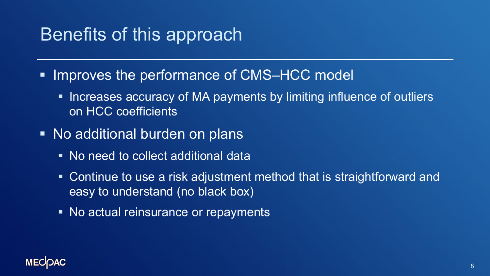## Benefits of this approach

- Improves the performance of CMS–HCC model
	- **Increases accuracy of MA payments by limiting influence of outliers** on HCC coefficients
- No additional burden on plans
	- No need to collect additional data
	- **Continue to use a risk adjustment method that is straightforward and** easy to understand (no black box)
	- No actual reinsurance or repayments

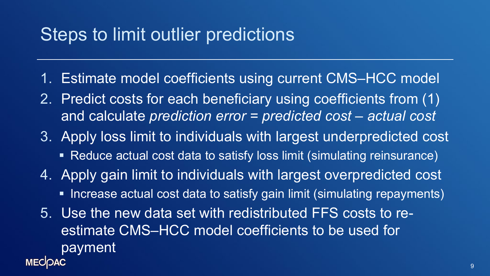#### Steps to limit outlier predictions

- 1. Estimate model coefficients using current CMS–HCC model
- 2. Predict costs for each beneficiary using coefficients from (1) and calculate *prediction error = predicted cost – actual cost*
- 3. Apply loss limit to individuals with largest underpredicted cost
	- Reduce actual cost data to satisfy loss limit (simulating reinsurance)
- 4. Apply gain limit to individuals with largest overpredicted cost
	- **Increase actual cost data to satisfy gain limit (simulating repayments)**
- 5. Use the new data set with redistributed FFS costs to reestimate CMS–HCC model coefficients to be used for payment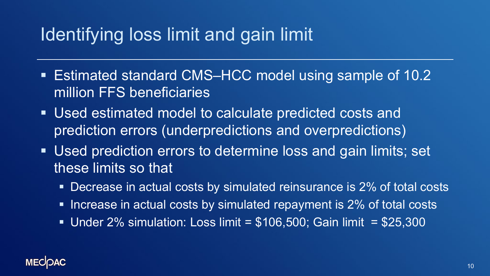## Identifying loss limit and gain limit

- Estimated standard CMS–HCC model using sample of 10.2 million FFS beneficiaries
- Used estimated model to calculate predicted costs and prediction errors (underpredictions and overpredictions)
- Used prediction errors to determine loss and gain limits; set these limits so that
	- **Decrease in actual costs by simulated reinsurance is 2% of total costs**
	- **Increase in actual costs by simulated repayment is 2% of total costs**
	- Under  $2\%$  simulation: Loss limit =  $$106,500$ ; Gain limit =  $$25,300$

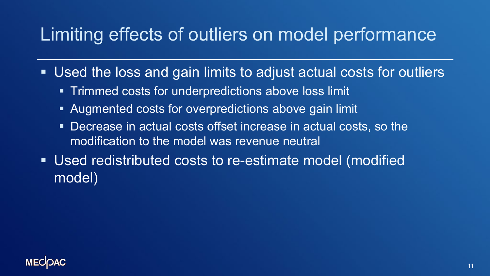#### Limiting effects of outliers on model performance

- Used the loss and gain limits to adjust actual costs for outliers
	- **Trimmed costs for underpredictions above loss limit**
	- Augmented costs for overpredictions above gain limit
	- **Decrease in actual costs offset increase in actual costs, so the** modification to the model was revenue neutral
- Used redistributed costs to re-estimate model (modified model)

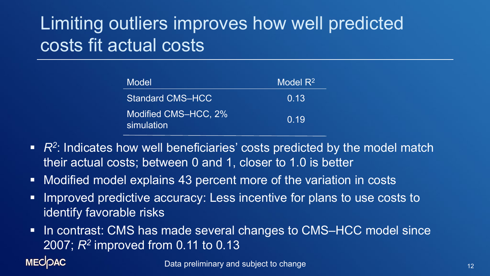# Limiting outliers improves how well predicted costs fit actual costs

| Model                              | Model $R^2$ |
|------------------------------------|-------------|
| <b>Standard CMS-HCC</b>            | 0.13        |
| Modified CMS-HCC, 2%<br>simulation | 0.19        |

- R<sup>2</sup>: Indicates how well beneficiaries' costs predicted by the model match their actual costs; between 0 and 1, closer to 1.0 is better
- Modified model explains 43 percent more of the variation in costs
- **IMPROVED predictive accuracy: Less incentive for plans to use costs to** identify favorable risks
- In contrast: CMS has made several changes to CMS–HCC model since 2007; *R2* improved from 0.11 to 0.13

#### **MECOAC**

Data preliminary and subject to change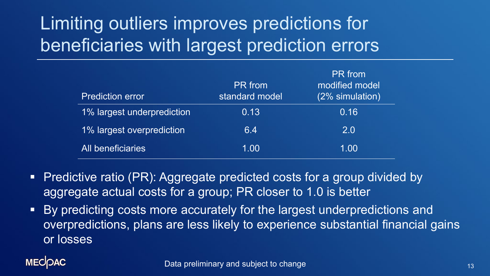# Limiting outliers improves predictions for beneficiaries with largest prediction errors

| <b>Prediction error</b>    | <b>PR</b> from<br>standard model | <b>PR</b> from<br>modified model<br>(2% simulation) |
|----------------------------|----------------------------------|-----------------------------------------------------|
| 1% largest underprediction | 0.13                             | 0.16                                                |
| 1% largest overprediction  | 6.4                              | 2.0                                                 |
| All beneficiaries          | 1.00                             | 1.00                                                |

- **Predictive ratio (PR): Aggregate predicted costs for a group divided by** aggregate actual costs for a group; PR closer to 1.0 is better
- **By predicting costs more accurately for the largest underpredictions and** overpredictions, plans are less likely to experience substantial financial gains or losses

#### **MECOAC**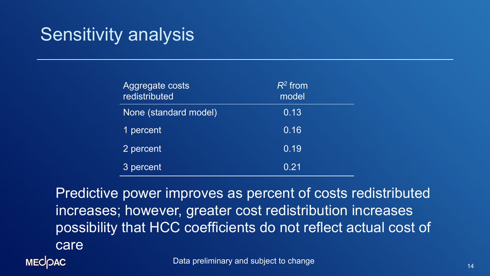## Sensitivity analysis

| Aggregate costs<br>redistributed | $R^2$ from<br>model |
|----------------------------------|---------------------|
| None (standard model)            | 0.13                |
| 1 percent                        | 0.16                |
| 2 percent                        | 0.19                |
| 3 percent                        | 0.21                |

Predictive power improves as percent of costs redistributed increases; however, greater cost redistribution increases possibility that HCC coefficients do not reflect actual cost of care

**MECOAC** 

Data preliminary and subject to change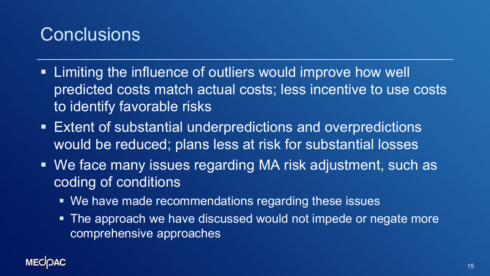## **Conclusions**

- Limiting the influence of outliers would improve how well predicted costs match actual costs; less incentive to use costs to identify favorable risks
- Extent of substantial underpredictions and overpredictions would be reduced; plans less at risk for substantial losses
- We face many issues regarding MA risk adjustment, such as coding of conditions
	- We have made recommendations regarding these issues
	- The approach we have discussed would not impede or negate more comprehensive approaches